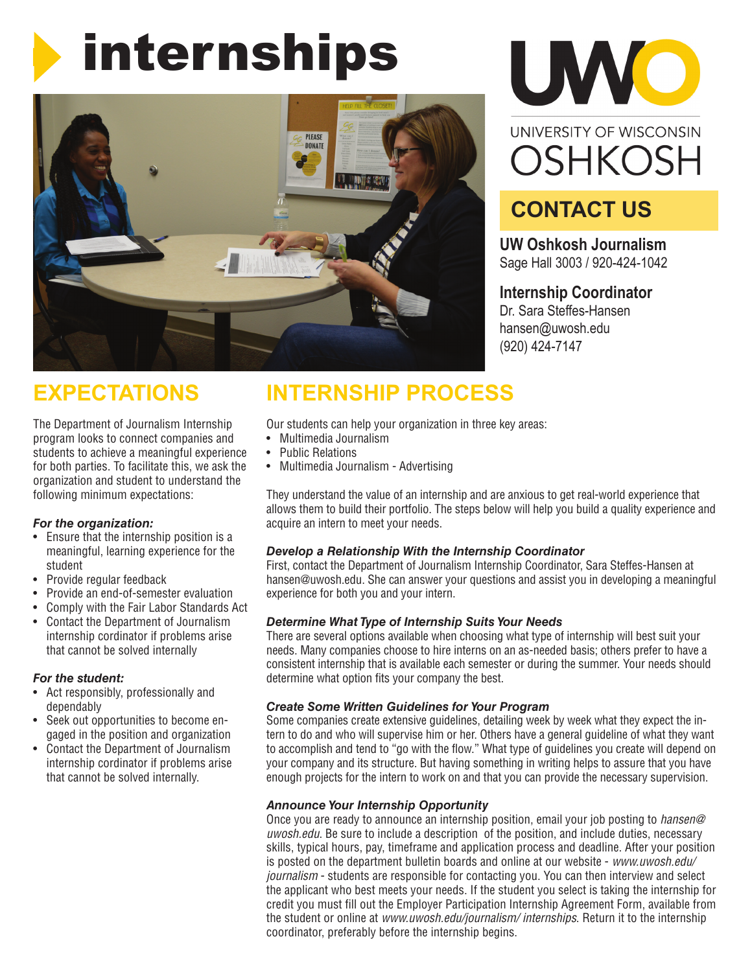# internships





# **CONTACT US**

**UW Oshkosh Journalism** Sage Hall 3003 / 920-424-1042

## **Internship Coordinator**

Dr. Sara Steffes-Hansen hansen@uwosh.edu (920) 424-7147

# **EXPECTATIONS**

The Department of Journalism Internship program looks to connect companies and students to achieve a meaningful experience for both parties. To facilitate this, we ask the organization and student to understand the following minimum expectations:

## *For the organization:*

- Ensure that the internship position is a meaningful, learning experience for the student
- Provide regular feedback
- Provide an end-of-semester evaluation
- Comply with the Fair Labor Standards Act
- Contact the Department of Journalism internship cordinator if problems arise that cannot be solved internally

## *For the student:*

- Act responsibly, professionally and dependably
- Seek out opportunities to become engaged in the position and organization
- Contact the Department of Journalism internship cordinator if problems arise that cannot be solved internally.

# **INTERNSHIP PROCESS**

Our students can help your organization in three key areas:

- Multimedia Journalism
- Public Relations
- Multimedia Journalism Advertising

They understand the value of an internship and are anxious to get real-world experience that allows them to build their portfolio. The steps below will help you build a quality experience and acquire an intern to meet your needs.

## *Develop a Relationship With the Internship Coordinator*

First, contact the Department of Journalism Internship Coordinator, Sara Steffes-Hansen at hansen@uwosh.edu. She can answer your questions and assist you in developing a meaningful experience for both you and your intern.

## *Determine What Type of Internship Suits Your Needs*

There are several options available when choosing what type of internship will best suit your needs. Many companies choose to hire interns on an as-needed basis; others prefer to have a consistent internship that is available each semester or during the summer. Your needs should determine what option fits your company the best.

## *Create Some Written Guidelines for Your Program*

Some companies create extensive guidelines, detailing week by week what they expect the intern to do and who will supervise him or her. Others have a general guideline of what they want to accomplish and tend to "go with the flow." What type of guidelines you create will depend on your company and its structure. But having something in writing helps to assure that you have enough projects for the intern to work on and that you can provide the necessary supervision.

## *Announce Your Internship Opportunity*

Once you are ready to announce an internship position, email your job posting to *hansen@ uwosh.edu*. Be sure to include a description of the position, and include duties, necessary skills, typical hours, pay, timeframe and application process and deadline. After your position is posted on the department bulletin boards and online at our website - *www.uwosh.edu/ journalism* - students are responsible for contacting you. You can then interview and select the applicant who best meets your needs. If the student you select is taking the internship for credit you must fill out the Employer Participation Internship Agreement Form, available from the student or online at *www.uwosh.edu/journalism/ internships*. Return it to the internship coordinator, preferably before the internship begins.